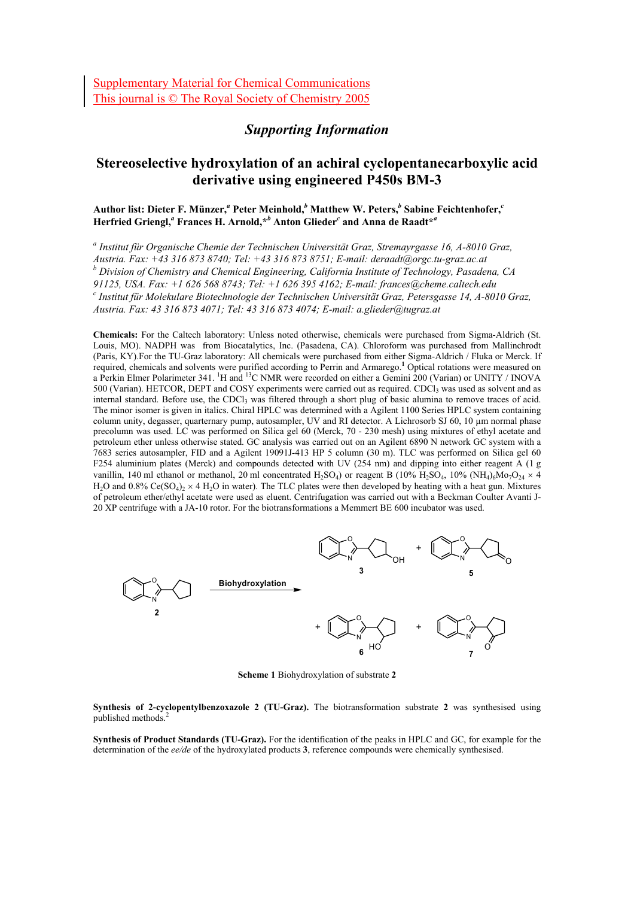## *Supporting Information*

# **Stereoselective hydroxylation of an achiral cyclopentanecarboxylic acid derivative using engineered P450s BM-3**

#### ${\bf A}$ uthor list: Dieter F. Münzer, $^a$  Peter Meinhold, $^b$  Matthew W. Peters, $^b$  Sabine Feichtenhofer, $^c$ **Herfried Griengl,***<sup>a</sup>*  **Frances H. Arnold,\****<sup>b</sup>*  **Anton Glieder***<sup>c</sup>*  **and Anna de Raadt\****<sup>a</sup>*

*a Institut für Organische Chemie der Technischen Universität Graz, Stremayrgasse 16, A-8010 Graz, Austria. Fax: +43 316 873 8740; Tel: +43 316 873 8751; E-mail: deraadt@orgc.tu-graz.ac.at b Division of Chemistry and Chemical Engineering, California Institute of Technology, Pasadena, CA 91125, USA. Fax: +1 626 568 8743; Tel: +1 626 395 4162; E-mail: frances@cheme.caltech.edu c Institut für Molekulare Biotechnologie der Technischen Universität Graz, Petersgasse 14, A-8010 Graz, Austria. Fax: 43 316 873 4071; Tel: 43 316 873 4074; E-mail: a.glieder@tugraz.at* 

**Chemicals:** For the Caltech laboratory: Unless noted otherwise, chemicals were purchased from Sigma-Aldrich (St. Louis, MO). NADPH was from Biocatalytics, Inc. (Pasadena, CA). Chloroform was purchased from Mallinchrodt (Paris, KY).For the TU-Graz laboratory: All chemicals were purchased from either Sigma-Aldrich / Fluka or Merck. If required, chemicals and solvents were purified according to Perrin and Armarego.**<sup>1</sup>** Optical rotations were measured on a Perkin Elmer Polarimeter 341. <sup>1</sup>H and <sup>13</sup>C NMR were recorded on either a Gemini 200 (Varian) or UNITY / INOVA 500 (Varian). HETCOR, DEPT and COSY experiments were carried out as required. CDCl<sub>3</sub> was used as solvent and as internal standard. Before use, the CDCl<sub>3</sub> was filtered through a short plug of basic alumina to remove traces of acid. The minor isomer is given in italics. Chiral HPLC was determined with a Agilent 1100 Series HPLC system containing column unity, degasser, quarternary pump, autosampler, UV and RI detector. A Lichrosorb SJ 60, 10 µm normal phase precolumn was used. LC was performed on Silica gel 60 (Merck, 70 - 230 mesh) using mixtures of ethyl acetate and petroleum ether unless otherwise stated. GC analysis was carried out on an Agilent 6890 N network GC system with a 7683 series autosampler, FID and a Agilent 19091J-413 HP 5 column (30 m). TLC was performed on Silica gel 60 F254 aluminium plates (Merck) and compounds detected with UV (254 nm) and dipping into either reagent A (1 g vanillin, 140 ml ethanol or methanol, 20 ml concentrated H<sub>2</sub>SO<sub>4</sub>) or reagent B (10% H<sub>2</sub>SO<sub>4</sub>, 10% (NH<sub>4</sub>)<sub>6</sub>Mo<sub>7</sub>O<sub>24</sub> × 4 H<sub>2</sub>O and 0.8% Ce(SO<sub>4</sub>)<sub>2</sub>  $\times$  4 H<sub>2</sub>O in water). The TLC plates were then developed by heating with a heat gun. Mixtures of petroleum ether/ethyl acetate were used as eluent. Centrifugation was carried out with a Beckman Coulter Avanti J-20 XP centrifuge with a JA-10 rotor. For the biotransformations a Memmert BE 600 incubator was used.



**Scheme 1** Biohydroxylation of substrate **2** 

**Synthesis of 2-cyclopentylbenzoxazole 2 (TU-Graz).** The biotransformation substrate **2** was synthesised using published methods.<sup>2</sup>

**Synthesis of Product Standards (TU-Graz).** For the identification of the peaks in HPLC and GC, for example for the determination of the *ee/de* of the hydroxylated products **3**, reference compounds were chemically synthesised.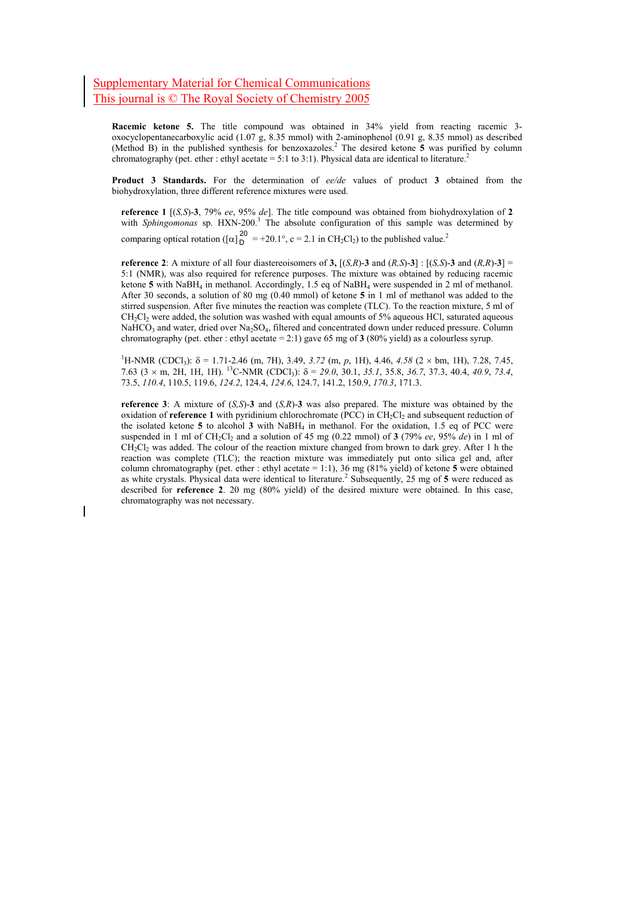**Racemic ketone 5.** The title compound was obtained in 34% yield from reacting racemic 3 oxocyclopentanecarboxylic acid (1.07 g, 8.35 mmol) with 2-aminophenol (0.91 g, 8.35 mmol) as described (Method B) in the published synthesis for benzoxazoles.2 The desired ketone **5** was purified by column chromatography (pet. ether : ethyl acetate = 5:1 to 3:1). Physical data are identical to literature.<sup>2</sup>

**Product 3 Standards.** For the determination of *ee/de* values of product **3** obtained from the biohydroxylation, three different reference mixtures were used.

**reference 1** [(*S,S*)-**3**, 79% *ee*, 95% *de*]. The title compound was obtained from biohydroxylation of **2** with *Sphingomonas* sp. HXN-200.<sup>3</sup> The absolute configuration of this sample was determined by comparing optical rotation ([ $\alpha$ ] $_{D}^{20}$  = +20.1°, c = 2.1 in CH<sub>2</sub>Cl<sub>2</sub>) to the published value.<sup>2</sup>

**reference 2**: A mixture of all four diastereoisomers of **3**,  $[(S, R)$ -**3** and  $(R, S)$ -**3**] :  $[(S, S)$ -**3** and  $(R, R)$ -**3**] = 5:1 (NMR), was also required for reference purposes. The mixture was obtained by reducing racemic ketone **5** with NaBH4 in methanol. Accordingly, 1.5 eq of NaBH4 were suspended in 2 ml of methanol. After 30 seconds, a solution of 80 mg (0.40 mmol) of ketone **5** in 1 ml of methanol was added to the stirred suspension. After five minutes the reaction was complete (TLC). To the reaction mixture, 5 ml of  $CH<sub>2</sub>Cl<sub>2</sub>$  were added, the solution was washed with equal amounts of 5% aqueous HCl, saturated aqueous NaHCO<sub>3</sub> and water, dried over Na<sub>2</sub>SO<sub>4</sub>, filtered and concentrated down under reduced pressure. Column chromatography (pet. ether : ethyl acetate = 2:1) gave 65 mg of **3** (80% yield) as a colourless syrup.

<sup>1</sup>H-NMR (CDCl<sub>3</sub>): δ = 1.71-2.46 (m, 7H), 3.49, 3.72 (m, *p*, 1H), 4.46, 4.58 (2 × bm, 1H), 7.28, 7.45, 7.63 (3 × m, 2H, 1H, 1H). 13C-NMR (CDCl3): δ = *29.0*, 30.1, *35.1*, 35.8, *36.7*, 37.3, 40.4, *40.9*, *73.4*, 73.5, *110.4*, 110.5, 119.6, *124.2*, 124.4, *124.6*, 124.7, 141.2, 150.9, *170.3*, 171.3.

**reference 3**: A mixture of (*S,S*)-**3** and (*S,R*)-**3** was also prepared. The mixture was obtained by the oxidation of **reference 1** with pyridinium chlorochromate (PCC) in CH<sub>2</sub>Cl<sub>2</sub> and subsequent reduction of the isolated ketone **5** to alcohol **3** with NaBH4 in methanol. For the oxidation, 1.5 eq of PCC were suspended in 1 ml of  $CH_2Cl_2$  and a solution of 45 mg (0.22 mmol) of **3** (79% *ee*, 95% *de*) in 1 ml of  $CH<sub>2</sub>Cl<sub>2</sub>$  was added. The colour of the reaction mixture changed from brown to dark grey. After 1 h the reaction was complete (TLC); the reaction mixture was immediately put onto silica gel and, after column chromatography (pet. ether : ethyl acetate = 1:1), 36 mg (81% yield) of ketone **5** were obtained as white crystals. Physical data were identical to literature.<sup>2</sup> Subsequently, 25 mg of 5 were reduced as described for **reference 2**. 20 mg (80% yield) of the desired mixture were obtained. In this case, chromatography was not necessary.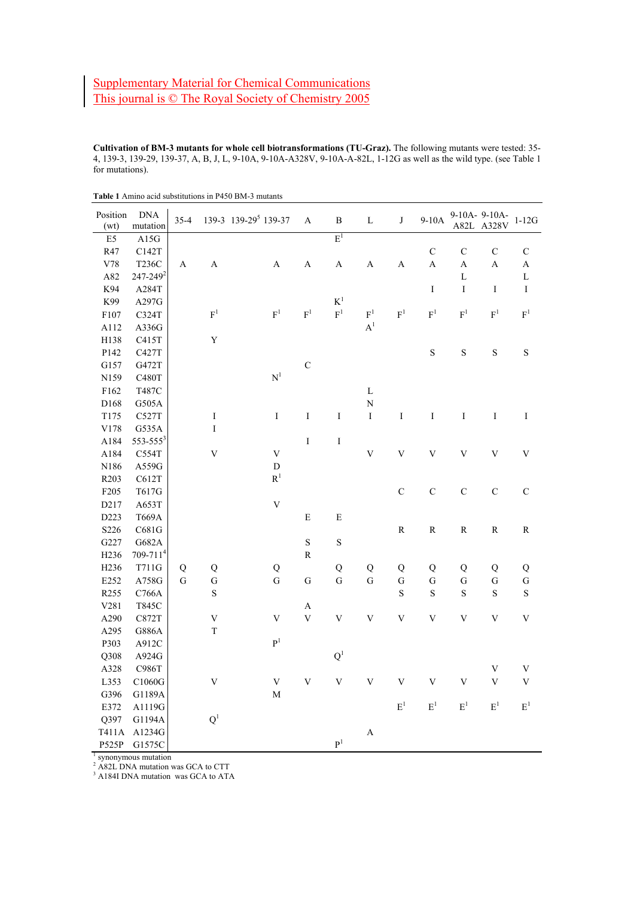**Cultivation of BM-3 mutants for whole cell biotransformations (TU-Graz).** The following mutants were tested: 35- 4, 139-3, 139-29, 139-37, A, B, J, L, 9-10A, 9-10A-A328V, 9-10A-A-82L, 1-12G as well as the wild type. (see Table 1 for mutations).

| Position<br>(wt) | <b>DNA</b><br>mutation | $35 - 4$    |                           | 139-3 139-29 <sup>5</sup> 139-37 | A                         | $\, {\bf B}$            | $\mathbf L$             | $\bf J$                   | $9-10A$                 |                | 9-10A- 9-10A-<br>A82L A328V | $1-12G$        |
|------------------|------------------------|-------------|---------------------------|----------------------------------|---------------------------|-------------------------|-------------------------|---------------------------|-------------------------|----------------|-----------------------------|----------------|
| E <sub>5</sub>   | A15G                   |             |                           |                                  |                           | $E^1$                   |                         |                           |                         |                |                             |                |
| R47              | C142T                  |             |                           |                                  |                           |                         |                         |                           | $\mathbf C$             | $\mathsf C$    | $\mathbf C$                 | $\mathbf C$    |
| V78              | <b>T236C</b>           | A           | $\boldsymbol{\mathsf{A}}$ | $\boldsymbol{\mathsf{A}}$        | $\boldsymbol{\mathsf{A}}$ | $\mathbf A$             | $\boldsymbol{A}$        | $\boldsymbol{\mathsf{A}}$ | $\mathbf{A}$            | $\overline{A}$ | A                           | A              |
| A82              | 247-249 <sup>2</sup>   |             |                           |                                  |                           |                         |                         |                           |                         | $\mathbf L$    |                             | $\mathbf L$    |
| K94              | A284T                  |             |                           |                                  |                           |                         |                         |                           | I                       | I              | $\bf{I}$                    | I              |
| K99              | A297G                  |             |                           |                                  |                           | $K^1$                   |                         |                           |                         |                |                             |                |
| F107             | C324T                  |             | $F^1$                     | $\mathbf{F}^1$                   | $\mathbf{F}^1$            | $\mathbf{F}^1$          | $F^1$                   | F <sup>1</sup>            | $F^1$                   | $\mathbf{F}^1$ | $F^1$                       | $\mathbf{F}^1$ |
| A112             | A336G                  |             |                           |                                  |                           |                         | $\mathbf{A}^1$          |                           |                         |                |                             |                |
| H138             | C415T                  |             | $\mathbf Y$               |                                  |                           |                         |                         |                           |                         |                |                             |                |
| P142             | C427T                  |             |                           |                                  |                           |                         |                         |                           | S                       | $\rm S$        | $\rm S$                     | $\mathbf S$    |
| G157             | G472T                  |             |                           |                                  | $\mathbf C$               |                         |                         |                           |                         |                |                             |                |
| N159             | C480T                  |             |                           | $\mathbf{N}^1$                   |                           |                         |                         |                           |                         |                |                             |                |
| F162             | T487C                  |             |                           |                                  |                           |                         | $\mathbf L$             |                           |                         |                |                             |                |
| D168             | G505A                  |             |                           |                                  |                           |                         | $\overline{\rm N}$      |                           |                         |                |                             |                |
| T175             | C527T                  |             | $\bf I$                   | $\bf I$                          | I                         | $\rm I$                 | $\rm I$                 | $\rm I$                   | $\rm I$                 | $\rm I$        | $\rm I$                     | $\rm I$        |
| V178             | G535A                  |             | $\mathbf I$               |                                  |                           |                         |                         |                           |                         |                |                             |                |
| A184             | $553 - 555^3$          |             |                           |                                  | I                         | $\rm I$                 |                         |                           |                         |                |                             |                |
| A184             | C554T                  |             | $\ensuremath{\mathbf{V}}$ | $\ensuremath{\mathbf{V}}$        |                           |                         | $\mathbf V$             | $\bar{V}$                 | $\bar{V}$               | $\mathbf V$    | $\overline{\mathsf{V}}$     | $\mathbf V$    |
| N186             | A559G                  |             |                           | $\mathbf D$                      |                           |                         |                         |                           |                         |                |                             |                |
| R203             | C612T                  |             |                           | $\mathbf{R}^1$                   |                           |                         |                         |                           |                         |                |                             |                |
| F205             | T617G                  |             |                           |                                  |                           |                         |                         | $\mathbf C$               | $\mathbf C$             | $\mathbf C$    | $\mathbf C$                 | $\mathbf C$    |
| D217             | A653T                  |             |                           | $\mathbf V$                      |                           |                         |                         |                           |                         |                |                             |                |
| D223             | <b>T669A</b>           |             |                           |                                  | ${\bf E}$                 | ${\bf E}$               |                         |                           |                         |                |                             |                |
| S226             | C681G                  |             |                           |                                  |                           |                         |                         | ${\bf R}$                 | ${\bf R}$               | ${\bf R}$      | ${\bf R}$                   | ${\bf R}$      |
| G227             | G682A                  |             |                           |                                  | $\mathbf S$               | $\mathbf S$             |                         |                           |                         |                |                             |                |
| H236             | $709 - 7114$           |             |                           |                                  | ${\bf R}$                 |                         |                         |                           |                         |                |                             |                |
| H <sub>236</sub> | T711G                  | ${\bf Q}$   | $\bf Q$                   | Q                                |                           | ${\bf Q}$               | ${\bf Q}$               | Q                         | ${\bf Q}$               | ${\bf Q}$      | $\overline{Q}$              | Q              |
| E252             | A758G                  | $\mathbf G$ | ${\bf G}$                 | $\mathbf G$                      | ${\bf G}$                 | $\overline{G}$          | $\mathbf G$             | ${\bf G}$                 | ${\bf G}$               | ${\bf G}$      | ${\bf G}$                   | ${\bf G}$      |
| R255             | C766A                  |             | $\mathbf S$               |                                  |                           |                         |                         | $\mathbf S$               | $\mathbf S$             | $\mathbf S$    | $\mathbf S$                 | $\mathbf S$    |
| V281             | T845C                  |             |                           |                                  | $\boldsymbol{\rm{A}}$     |                         |                         |                           |                         |                |                             |                |
| A290             | C872T                  |             | $\mathbf V$               | $\ensuremath{\mathbf{V}}$        | $\ensuremath{\mathbf{V}}$ | $\mathbf V$             | $\mathbf V$             | $\mathbf V$               | $\mathbf V$             | $\mathbf V$    | $\mathbf V$                 | $\mathbf V$    |
| A295             | G886A                  |             | $\mathbf T$               |                                  |                           |                         |                         |                           |                         |                |                             |                |
| P303             | A912C                  |             |                           | $\mathbf{P}^1$                   |                           |                         |                         |                           |                         |                |                             |                |
| Q308             | A924G                  |             |                           |                                  |                           | Q <sup>1</sup>          |                         |                           |                         |                |                             |                |
| A328             | C986T                  |             |                           |                                  |                           |                         |                         |                           |                         |                | $\mathbf V$                 | $\mathbf V$    |
| L353             | C1060G                 |             | $\bar{V}$                 | $\mathbf V$                      | $\mathbf V$               | $\overline{\mathbf{V}}$ | $\overline{\mathsf{V}}$ | $\bar{V}$                 | $\overline{\mathsf{V}}$ | $\mathbf V$    | V                           | V              |
| G396             | G1189A                 |             |                           | $\mathbf M$                      |                           |                         |                         |                           |                         |                |                             |                |
| E372             | A1119G                 |             |                           |                                  |                           |                         |                         | $\mathbf{E}^1$            | $E^1$                   | $\mathbf{E}^1$ | $\mathbf{E}^1$              | $\mathbf{E}^1$ |
| Q397             | G1194A                 |             | $\mathbf{Q}^1$            |                                  |                           |                         |                         |                           |                         |                |                             |                |
| T411A            | A1234G                 |             |                           |                                  |                           |                         | $\boldsymbol{\rm{A}}$   |                           |                         |                |                             |                |
| P525P            | G1575C                 |             |                           |                                  |                           | $\mathbf{P}^1$          |                         |                           |                         |                |                             |                |
|                  | synonymous mutation    |             |                           |                                  |                           |                         |                         |                           |                         |                |                             |                |

**Table 1** Amino acid substitutions in P450 BM-3 mutants

<sup>2</sup> A82L DNA mutation was GCA to CTT

<sup>3</sup> A184I DNA mutation was GCA to ATA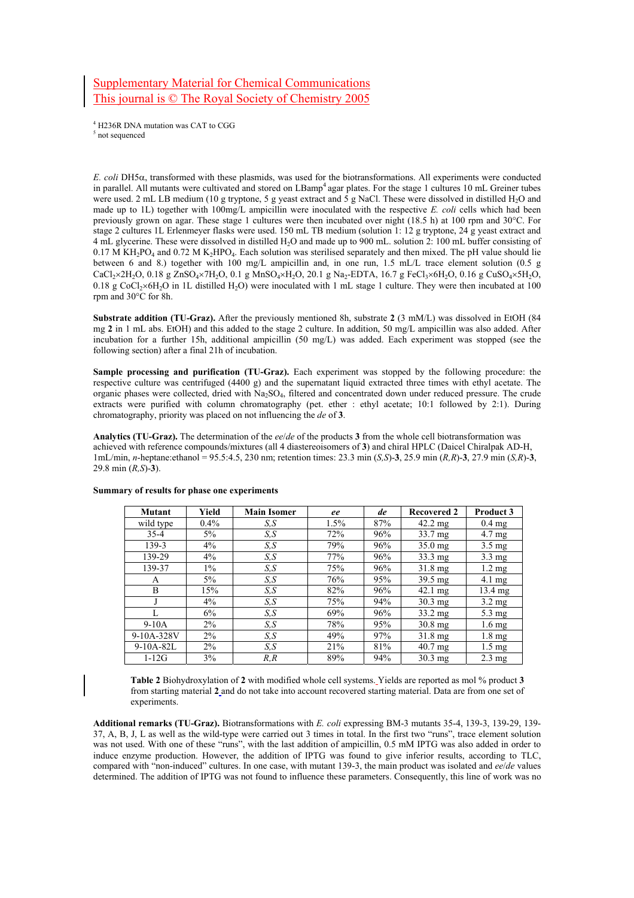## Supplementary Material for Chemical Communications This journal is © The Royal Society of Chemistry 2005

4 H236R DNA mutation was CAT to CGG <sup>5</sup> not sequenced

*E. coli* DH5α, transformed with these plasmids, was used for the biotransformations. All experiments were conducted in parallel. All mutants were cultivated and stored on LBamp4 agar plates. For the stage 1 cultures 10 mL Greiner tubes were used. 2 mL LB medium (10 g tryptone, 5 g yeast extract and  $\frac{1}{5}$  g NaCl. These were dissolved in distilled H<sub>2</sub>O and made up to 1L) together with 100mg/L ampicillin were inoculated with the respective *E. coli* cells which had been previously grown on agar. These stage 1 cultures were then incubated over night (18.5 h) at 100 rpm and 30°C. For stage 2 cultures 1L Erlenmeyer flasks were used. 150 mL TB medium (solution 1: 12 g tryptone, 24 g yeast extract and 4 mL glycerine. These were dissolved in distilled H2O and made up to 900 mL. solution 2: 100 mL buffer consisting of  $0.17$  M KH<sub>2</sub>PO<sub>4</sub> and  $0.72$  M K<sub>2</sub>HPO<sub>4</sub>. Each solution was sterilised separately and then mixed. The pH value should lie between 6 and 8.) together with 100 mg/L ampicillin and, in one run, 1.5 mL/L trace element solution (0.5 g CaCl2×2H2O, 0.18 g ZnSO4×7H2O, 0.1 g MnSO4×H2O, 20.1 g Na2-EDTA, 16.7 g FeCl3×6H2O, 0.16 g CuSO4×5H2O, 0.18 g CoCl<sub>2</sub>×6H<sub>2</sub>O in 1L distilled H<sub>2</sub>O) were inoculated with 1 mL stage 1 culture. They were then incubated at 100 rpm and 30°C for 8h.

**Substrate addition (TU-Graz).** After the previously mentioned 8h, substrate **2** (3 mM/L) was dissolved in EtOH (84 mg **2** in 1 mL abs. EtOH) and this added to the stage 2 culture. In addition, 50 mg/L ampicillin was also added. After incubation for a further 15h, additional ampicillin (50 mg/L) was added. Each experiment was stopped (see the following section) after a final 21h of incubation.

**Sample processing and purification (TU-Graz).** Each experiment was stopped by the following procedure: the respective culture was centrifuged (4400 g) and the supernatant liquid extracted three times with ethyl acetate. The organic phases were collected, dried with Na2SO4, filtered and concentrated down under reduced pressure. The crude extracts were purified with column chromatography (pet. ether : ethyl acetate; 10:1 followed by 2:1). During chromatography, priority was placed on not influencing the *de* of **3**.

**Analytics (TU-Graz).** The determination of the *ee*/*de* of the products **3** from the whole cell biotransformation was achieved with reference compounds/mixtures (all 4 diastereoisomers of **3**) and chiral HPLC (Daicel Chiralpak AD-H, 1mL/min, *n*-heptane:ethanol = 95.5:4.5, 230 nm; retention times: 23.3 min (*S,S*)-**3**, 25.9 min (*R,R*)-**3**, 27.9 min (*S,R*)-**3**, 29.8 min (*R,S*)-**3**).

| Mutant      | Yield   | <b>Main Isomer</b> | ee   | de  | <b>Recovered 2</b> | <b>Product 3</b> |
|-------------|---------|--------------------|------|-----|--------------------|------------------|
| wild type   | $0.4\%$ | S, S               | 1.5% | 87% | $42.2 \text{ mg}$  | $0.4$ mg         |
| $35 - 4$    | 5%      | S.S                | 72%  | 96% | 33.7 mg            | $4.7 \text{ mg}$ |
| 139-3       | $4\%$   | S.S                | 79%  | 96% | 35.0 mg            | $3.5 \text{ mg}$ |
| 139-29      | $4\%$   | S, S               | 77%  | 96% | 33.3 mg            | $3.3 \text{ mg}$ |
| 139-37      | $1\%$   | S, S               | 75%  | 96% | $31.8 \text{ mg}$  | $1.2 \text{ mg}$ |
| A           | 5%      | S, S               | 76%  | 95% | $39.5 \text{ mg}$  | $4.1 \text{ mg}$ |
| B           | 15%     | S, S               | 82%  | 96% | 42.1 mg            | 13.4 mg          |
| J           | $4\%$   | S.S                | 75%  | 94% | 30.3 mg            | $3.2 \text{ mg}$ |
|             | 6%      | S, S               | 69%  | 96% | $33.2 \text{ mg}$  | $5.3 \text{ mg}$ |
| $9-10A$     | $2\%$   | S, S               | 78%  | 95% | $30.8$ mg          | $1.6 \text{ mg}$ |
| 9-10A-328V  | $2\%$   | S.S                | 49%  | 97% | 31.8 mg            | $1.8 \text{ mg}$ |
| $9-10A-82L$ | $2\%$   | S, S               | 21%  | 81% | 40.7 mg            | $1.5 \text{ mg}$ |
| $1-12G$     | 3%      | R, R               | 89%  | 94% | $30.3 \text{ mg}$  | $2.3 \text{ mg}$ |

#### **Summary of results for phase one experiments**

**Table 2** Biohydroxylation of **2** with modified whole cell systems. Yields are reported as mol % product **3** from starting material **2** and do not take into account recovered starting material. Data are from one set of experiments.

**Additional remarks (TU-Graz).** Biotransformations with *E. coli* expressing BM-3 mutants 35-4, 139-3, 139-29, 139- 37, A, B, J, L as well as the wild-type were carried out 3 times in total. In the first two "runs", trace element solution was not used. With one of these "runs", with the last addition of ampicillin, 0.5 mM IPTG was also added in order to induce enzyme production. However, the addition of IPTG was found to give inferior results, according to TLC, compared with "non-induced" cultures. In one case, with mutant 139-3, the main product was isolated and *ee*/*de* values determined. The addition of IPTG was not found to influence these parameters. Consequently, this line of work was no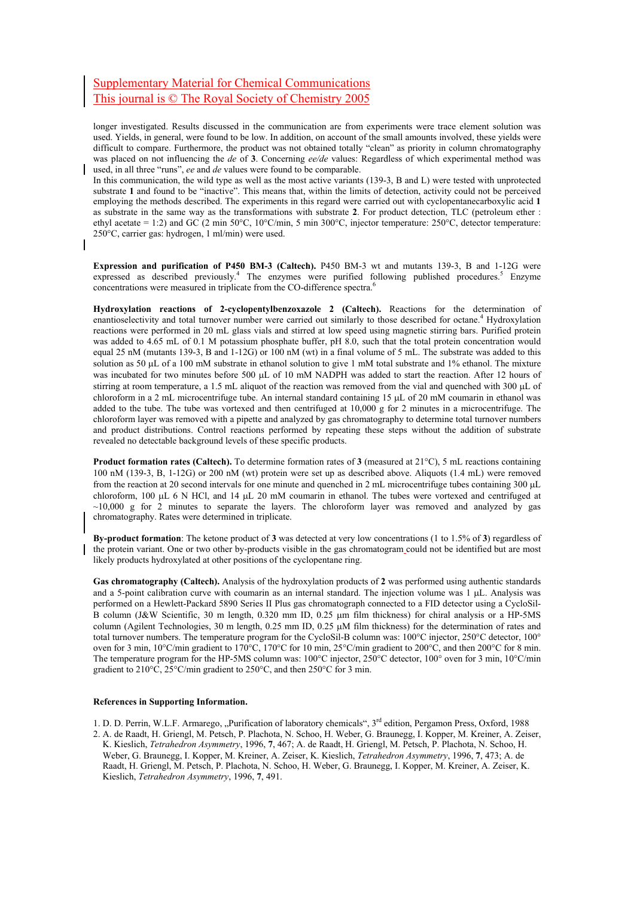## Supplementary Material for Chemical Communications This journal is © The Royal Society of Chemistry 2005

longer investigated. Results discussed in the communication are from experiments were trace element solution was used. Yields, in general, were found to be low. In addition, on account of the small amounts involved, these yields were difficult to compare. Furthermore, the product was not obtained totally "clean" as priority in column chromatography was placed on not influencing the *de* of **3**. Concerning *ee/de* values: Regardless of which experimental method was used, in all three "runs", *ee* and *de* values were found to be comparable.

In this communication, the wild type as well as the most active variants (139-3, B and L) were tested with unprotected substrate **1** and found to be "inactive". This means that, within the limits of detection, activity could not be perceived employing the methods described. The experiments in this regard were carried out with cyclopentanecarboxylic acid **1** as substrate in the same way as the transformations with substrate **2**. For product detection, TLC (petroleum ether : ethyl acetate = 1:2) and GC (2 min 50°C, 10°C/min, 5 min 300°C, injector temperature: 250°C, detector temperature: 250°C, carrier gas: hydrogen, 1 ml/min) were used.

**Expression and purification of P450 BM-3 (Caltech).** P450 BM-3 wt and mutants 139-3, B and 1-12G were expressed as described previously.<sup>4</sup> The enzymes were purified following published procedures.<sup>5</sup> Enzyme concentrations were measured in triplicate from the CO-difference spectra.<sup>6</sup>

**Hydroxylation reactions of 2-cyclopentylbenzoxazole 2 (Caltech).** Reactions for the determination of enantioselectivity and total turnover number were carried out similarly to those described for octane.<sup>4</sup> Hydroxylation reactions were performed in 20 mL glass vials and stirred at low speed using magnetic stirring bars. Purified protein was added to 4.65 mL of 0.1 M potassium phosphate buffer, pH 8.0, such that the total protein concentration would equal 25 nM (mutants 139-3, B and 1-12G) or 100 nM (wt) in a final volume of 5 mL. The substrate was added to this solution as 50 µL of a 100 mM substrate in ethanol solution to give 1 mM total substrate and 1% ethanol. The mixture was incubated for two minutes before 500 µL of 10 mM NADPH was added to start the reaction. After 12 hours of stirring at room temperature, a 1.5 mL aliquot of the reaction was removed from the vial and quenched with 300 µL of chloroform in a 2 mL microcentrifuge tube. An internal standard containing 15 µL of 20 mM coumarin in ethanol was added to the tube. The tube was vortexed and then centrifuged at 10,000 g for 2 minutes in a microcentrifuge. The chloroform layer was removed with a pipette and analyzed by gas chromatography to determine total turnover numbers and product distributions. Control reactions performed by repeating these steps without the addition of substrate revealed no detectable background levels of these specific products.

**Product formation rates (Caltech).** To determine formation rates of **3** (measured at 21°C), 5 mL reactions containing 100 nM (139-3, B, 1-12G) or 200 nM (wt) protein were set up as described above. Aliquots (1.4 mL) were removed from the reaction at 20 second intervals for one minute and quenched in 2 mL microcentrifuge tubes containing 300 µL chloroform, 100 µL 6 N HCl, and 14 µL 20 mM coumarin in ethanol. The tubes were vortexed and centrifuged at  $\sim$ 10,000 g for 2 minutes to separate the layers. The chloroform layer was removed and analyzed by gas chromatography. Rates were determined in triplicate.

**By-product formation**: The ketone product of **3** was detected at very low concentrations (1 to 1.5% of **3**) regardless of the protein variant. One or two other by-products visible in the gas chromatogram could not be identified but are most likely products hydroxylated at other positions of the cyclopentane ring.

**Gas chromatography (Caltech).** Analysis of the hydroxylation products of **2** was performed using authentic standards and a 5-point calibration curve with coumarin as an internal standard. The injection volume was 1 µL. Analysis was performed on a Hewlett-Packard 5890 Series II Plus gas chromatograph connected to a FID detector using a CycloSil-B column (J&W Scientific, 30 m length, 0.320 mm ID, 0.25 µm film thickness) for chiral analysis or a HP-5MS column (Agilent Technologies, 30 m length, 0.25 mm ID, 0.25  $\mu$ M film thickness) for the determination of rates and total turnover numbers. The temperature program for the CycloSil-B column was: 100°C injector, 250°C detector, 100° oven for 3 min, 10°C/min gradient to 170°C, 170°C for 10 min, 25°C/min gradient to 200°C, and then 200°C for 8 min. The temperature program for the HP-5MS column was: 100°C injector, 250°C detector, 100° oven for 3 min, 10°C/min gradient to 210°C, 25°C/min gradient to 250°C, and then 250°C for 3 min.

#### **References in Supporting Information.**

1. D. D. Perrin, W.L.F. Armarego, "Purification of laboratory chemicals", 3<sup>rd</sup> edition, Pergamon Press, Oxford, 1988

2. A. de Raadt, H. Griengl, M. Petsch, P. Plachota, N. Schoo, H. Weber, G. Braunegg, I. Kopper, M. Kreiner, A. Zeiser, K. Kieslich, *Tetrahedron Asymmetry*, 1996, **7**, 467; A. de Raadt, H. Griengl, M. Petsch, P. Plachota, N. Schoo, H. Weber, G. Braunegg, I. Kopper, M. Kreiner, A. Zeiser, K. Kieslich, *Tetrahedron Asymmetry*, 1996, **7**, 473; A. de Raadt, H. Griengl, M. Petsch, P. Plachota, N. Schoo, H. Weber, G. Braunegg, I. Kopper, M. Kreiner, A. Zeiser, K. Kieslich, *Tetrahedron Asymmetry*, 1996, **7**, 491.